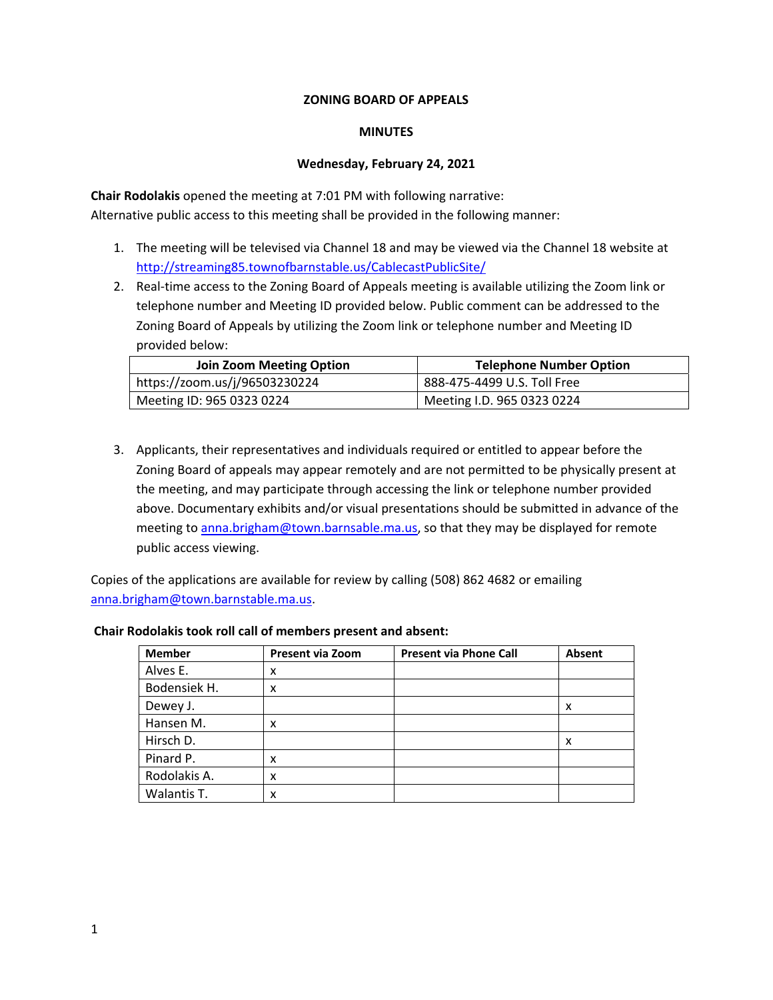### **ZONING BOARD OF APPEALS**

#### **MINUTES**

#### **Wednesday, February 24, 2021**

**Chair Rodolakis** opened the meeting at 7:01 PM with following narrative: Alternative public access to this meeting shall be provided in the following manner:

- 1. The meeting will be televised via Channel 18 and may be viewed via the Channel 18 website at http://streaming85.townofbarnstable.us/CablecastPublicSite/
- 2. Real-time access to the Zoning Board of Appeals meeting is available utilizing the Zoom link or telephone number and Meeting ID provided below. Public comment can be addressed to the Zoning Board of Appeals by utilizing the Zoom link or telephone number and Meeting ID provided below:

| Join Zoom Meeting Option      | <b>Telephone Number Option</b> |
|-------------------------------|--------------------------------|
| https://zoom.us/j/96503230224 | 888-475-4499 U.S. Toll Free    |
| Meeting ID: 965 0323 0224     | Meeting I.D. 965 0323 0224     |

3. Applicants, their representatives and individuals required or entitled to appear before the Zoning Board of appeals may appear remotely and are not permitted to be physically present at the meeting, and may participate through accessing the link or telephone number provided above. Documentary exhibits and/or visual presentations should be submitted in advance of the meeting to anna.brigham@town.barnsable.ma.us, so that they may be displayed for remote public access viewing.

Copies of the applications are available for review by calling (508) 862 4682 or emailing anna.brigham@town.barnstable.ma.us.

#### **Chair Rodolakis took roll call of members present and absent:**

| <b>Member</b> | <b>Present via Zoom</b> | <b>Present via Phone Call</b> | Absent |
|---------------|-------------------------|-------------------------------|--------|
| Alves E.      | x                       |                               |        |
| Bodensiek H.  | x                       |                               |        |
| Dewey J.      |                         |                               | x      |
| Hansen M.     | x                       |                               |        |
| Hirsch D.     |                         |                               | x      |
| Pinard P.     | x                       |                               |        |
| Rodolakis A.  | x                       |                               |        |
| Walantis T.   | x                       |                               |        |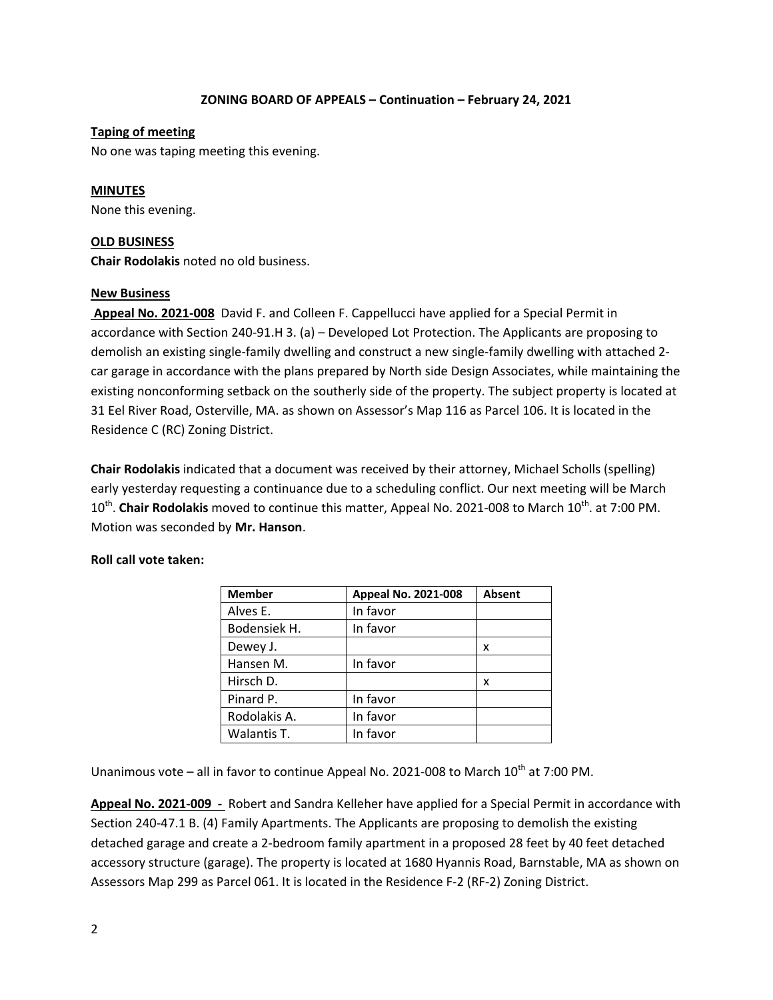## **Taping of meeting**

No one was taping meeting this evening.

## **MINUTES**

None this evening.

## **OLD BUSINESS**

**Chair Rodolakis** noted no old business.

## **New Business**

 **Appeal No. 2021-008** David F. and Colleen F. Cappellucci have applied for a Special Permit in accordance with Section 240-91.H 3. (a) – Developed Lot Protection. The Applicants are proposing to demolish an existing single-family dwelling and construct a new single-family dwelling with attached 2 car garage in accordance with the plans prepared by North side Design Associates, while maintaining the existing nonconforming setback on the southerly side of the property. The subject property is located at 31 Eel River Road, Osterville, MA. as shown on Assessor's Map 116 as Parcel 106. It is located in the Residence C (RC) Zoning District.

**Chair Rodolakis** indicated that a document was received by their attorney, Michael Scholls (spelling) early yesterday requesting a continuance due to a scheduling conflict. Our next meeting will be March 10<sup>th</sup>. **Chair Rodolakis** moved to continue this matter, Appeal No. 2021-008 to March 10<sup>th</sup>. at 7:00 PM. Motion was seconded by **Mr. Hanson**.

|  |  |  | Roll call vote taken: |
|--|--|--|-----------------------|
|--|--|--|-----------------------|

| <b>Member</b> | Appeal No. 2021-008 | <b>Absent</b> |
|---------------|---------------------|---------------|
| Alves E.      | In favor            |               |
| Bodensiek H.  | In favor            |               |
| Dewey J.      |                     | x             |
| Hansen M.     | In favor            |               |
| Hirsch D.     |                     | x             |
| Pinard P.     | In favor            |               |
| Rodolakis A.  | In favor            |               |
| Walantis T.   | In favor            |               |

Unanimous vote – all in favor to continue Appeal No. 2021-008 to March  $10^{th}$  at 7:00 PM.

**Appeal No. 2021-009 -** Robert and Sandra Kelleher have applied for a Special Permit in accordance with Section 240-47.1 B. (4) Family Apartments. The Applicants are proposing to demolish the existing detached garage and create a 2-bedroom family apartment in a proposed 28 feet by 40 feet detached accessory structure (garage). The property is located at 1680 Hyannis Road, Barnstable, MA as shown on Assessors Map 299 as Parcel 061. It is located in the Residence F-2 (RF-2) Zoning District.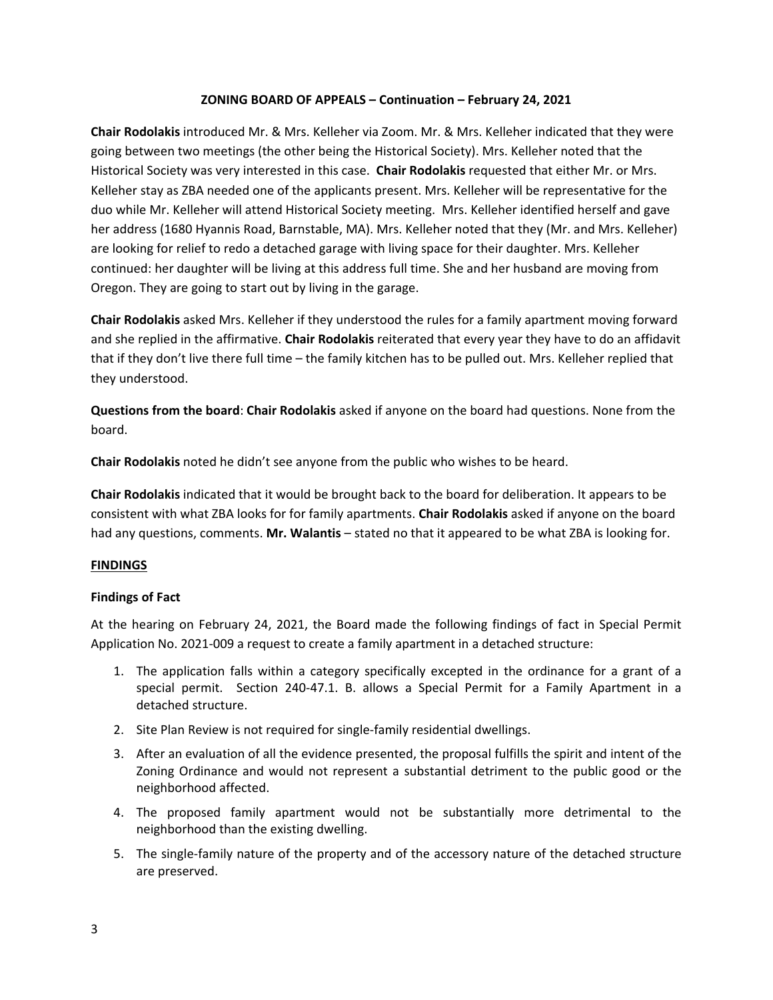**Chair Rodolakis** introduced Mr. & Mrs. Kelleher via Zoom. Mr. & Mrs. Kelleher indicated that they were going between two meetings (the other being the Historical Society). Mrs. Kelleher noted that the Historical Society was very interested in this case. **Chair Rodolakis** requested that either Mr. or Mrs. Kelleher stay as ZBA needed one of the applicants present. Mrs. Kelleher will be representative for the duo while Mr. Kelleher will attend Historical Society meeting. Mrs. Kelleher identified herself and gave her address (1680 Hyannis Road, Barnstable, MA). Mrs. Kelleher noted that they (Mr. and Mrs. Kelleher) are looking for relief to redo a detached garage with living space for their daughter. Mrs. Kelleher continued: her daughter will be living at this address full time. She and her husband are moving from Oregon. They are going to start out by living in the garage.

**Chair Rodolakis** asked Mrs. Kelleher if they understood the rules for a family apartment moving forward and she replied in the affirmative. **Chair Rodolakis** reiterated that every year they have to do an affidavit that if they don't live there full time – the family kitchen has to be pulled out. Mrs. Kelleher replied that they understood.

**Questions from the board**: **Chair Rodolakis** asked if anyone on the board had questions. None from the board.

**Chair Rodolakis** noted he didn't see anyone from the public who wishes to be heard.

**Chair Rodolakis** indicated that it would be brought back to the board for deliberation. It appears to be consistent with what ZBA looks for for family apartments. **Chair Rodolakis** asked if anyone on the board had any questions, comments. **Mr. Walantis** – stated no that it appeared to be what ZBA is looking for.

## **FINDINGS**

## **Findings of Fact**

At the hearing on February 24, 2021, the Board made the following findings of fact in Special Permit Application No. 2021-009 a request to create a family apartment in a detached structure:

- 1. The application falls within a category specifically excepted in the ordinance for a grant of a special permit. Section 240-47.1. B. allows a Special Permit for a Family Apartment in a detached structure.
- 2. Site Plan Review is not required for single-family residential dwellings.
- 3. After an evaluation of all the evidence presented, the proposal fulfills the spirit and intent of the Zoning Ordinance and would not represent a substantial detriment to the public good or the neighborhood affected.
- 4. The proposed family apartment would not be substantially more detrimental to the neighborhood than the existing dwelling.
- 5. The single-family nature of the property and of the accessory nature of the detached structure are preserved.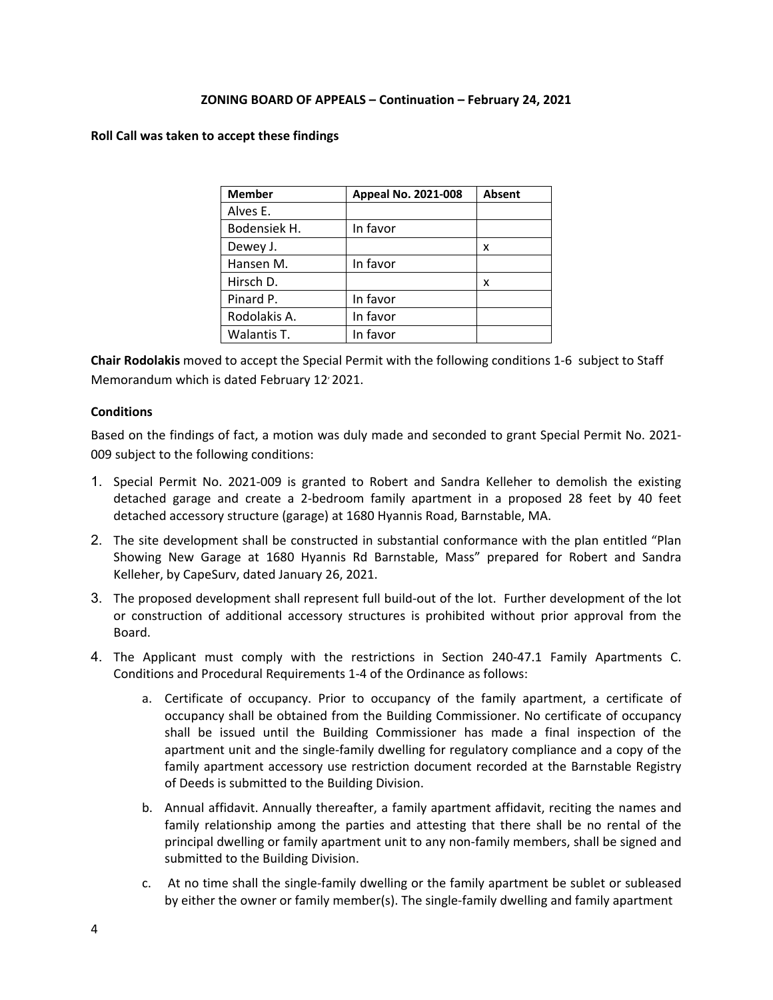#### **Roll Call was taken to accept these findings**

| <b>Member</b> | Appeal No. 2021-008 | <b>Absent</b> |
|---------------|---------------------|---------------|
| Alves E.      |                     |               |
| Bodensiek H.  | In favor            |               |
| Dewey J.      |                     | x             |
| Hansen M.     | In favor            |               |
| Hirsch D.     |                     | x             |
| Pinard P.     | In favor            |               |
| Rodolakis A.  | In favor            |               |
| Walantis T.   | In favor            |               |

**Chair Rodolakis** moved to accept the Special Permit with the following conditions 1-6 subject to Staff Memorandum which is dated February 12' 2021.

### **Conditions**

Based on the findings of fact, a motion was duly made and seconded to grant Special Permit No. 2021- 009 subject to the following conditions:

- 1. Special Permit No. 2021-009 is granted to Robert and Sandra Kelleher to demolish the existing detached garage and create a 2-bedroom family apartment in a proposed 28 feet by 40 feet detached accessory structure (garage) at 1680 Hyannis Road, Barnstable, MA.
- 2. The site development shall be constructed in substantial conformance with the plan entitled "Plan Showing New Garage at 1680 Hyannis Rd Barnstable, Mass" prepared for Robert and Sandra Kelleher, by CapeSurv, dated January 26, 2021.
- 3. The proposed development shall represent full build-out of the lot. Further development of the lot or construction of additional accessory structures is prohibited without prior approval from the Board.
- 4. The Applicant must comply with the restrictions in Section 240-47.1 Family Apartments C. Conditions and Procedural Requirements 1-4 of the Ordinance as follows:
	- a. Certificate of occupancy. Prior to occupancy of the family apartment, a certificate of occupancy shall be obtained from the Building Commissioner. No certificate of occupancy shall be issued until the Building Commissioner has made a final inspection of the apartment unit and the single-family dwelling for regulatory compliance and a copy of the family apartment accessory use restriction document recorded at the Barnstable Registry of Deeds is submitted to the Building Division.
	- b. Annual affidavit. Annually thereafter, a family apartment affidavit, reciting the names and family relationship among the parties and attesting that there shall be no rental of the principal dwelling or family apartment unit to any non-family members, shall be signed and submitted to the Building Division.
	- c. At no time shall the single-family dwelling or the family apartment be sublet or subleased by either the owner or family member(s). The single-family dwelling and family apartment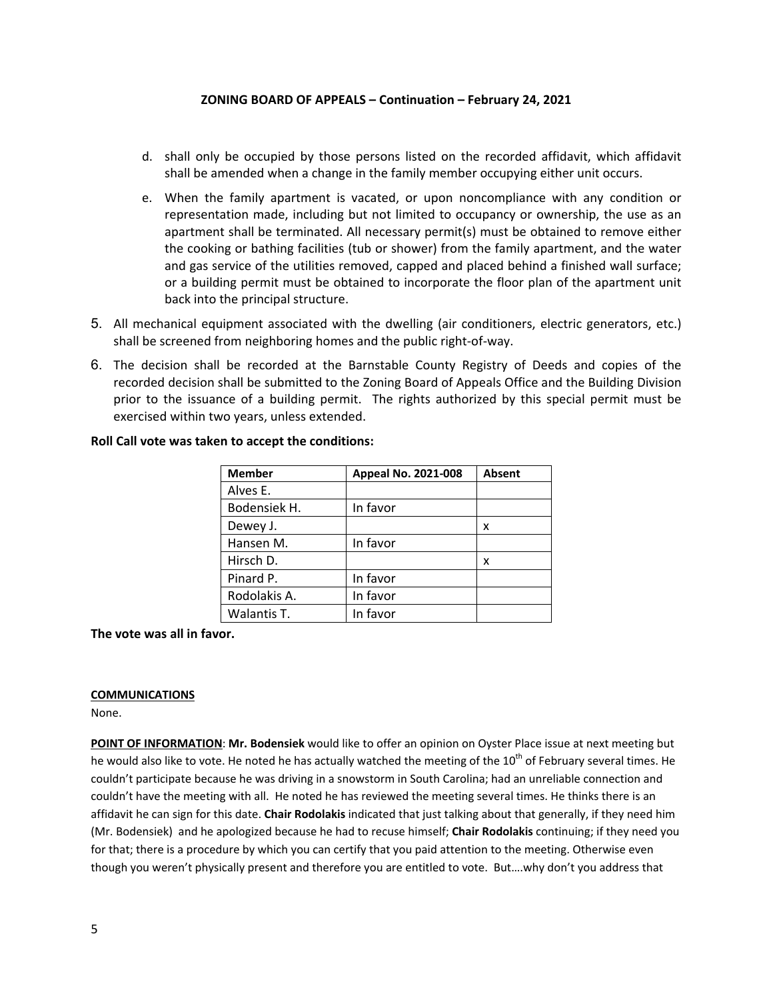- d. shall only be occupied by those persons listed on the recorded affidavit, which affidavit shall be amended when a change in the family member occupying either unit occurs.
- e. When the family apartment is vacated, or upon noncompliance with any condition or representation made, including but not limited to occupancy or ownership, the use as an apartment shall be terminated. All necessary permit(s) must be obtained to remove either the cooking or bathing facilities (tub or shower) from the family apartment, and the water and gas service of the utilities removed, capped and placed behind a finished wall surface; or a building permit must be obtained to incorporate the floor plan of the apartment unit back into the principal structure.
- 5. All mechanical equipment associated with the dwelling (air conditioners, electric generators, etc.) shall be screened from neighboring homes and the public right-of-way.
- 6. The decision shall be recorded at the Barnstable County Registry of Deeds and copies of the recorded decision shall be submitted to the Zoning Board of Appeals Office and the Building Division prior to the issuance of a building permit. The rights authorized by this special permit must be exercised within two years, unless extended.

| <b>Member</b> | Appeal No. 2021-008 | <b>Absent</b> |
|---------------|---------------------|---------------|
| Alves E.      |                     |               |
| Bodensiek H.  | In favor            |               |
| Dewey J.      |                     | x             |
| Hansen M.     | In favor            |               |
| Hirsch D.     |                     | x             |
| Pinard P.     | In favor            |               |
| Rodolakis A.  | In favor            |               |
| Walantis T.   | In favor            |               |

#### **Roll Call vote was taken to accept the conditions:**

**The vote was all in favor.**

#### **COMMUNICATIONS**

None.

**POINT OF INFORMATION**: **Mr. Bodensiek** would like to offer an opinion on Oyster Place issue at next meeting but he would also like to vote. He noted he has actually watched the meeting of the 10<sup>th</sup> of February several times. He couldn't participate because he was driving in a snowstorm in South Carolina; had an unreliable connection and couldn't have the meeting with all. He noted he has reviewed the meeting several times. He thinks there is an affidavit he can sign for this date. **Chair Rodolakis** indicated that just talking about that generally, if they need him (Mr. Bodensiek) and he apologized because he had to recuse himself; **Chair Rodolakis** continuing; if they need you for that; there is a procedure by which you can certify that you paid attention to the meeting. Otherwise even though you weren't physically present and therefore you are entitled to vote. But….why don't you address that